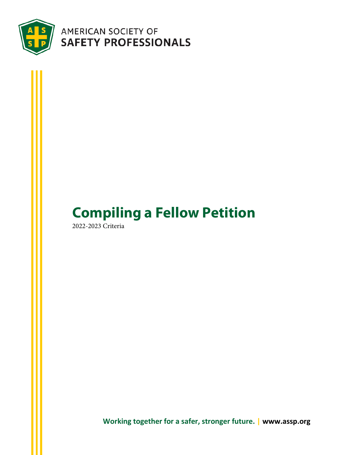

## AMERICAN SOCIETY OF SAFETY PROFESSIONALS

# <span id="page-0-0"></span>**Compiling a Fellow Petition**

2022-2023 Criteria

**Working together for a safer, stronger future. | www.assp.org**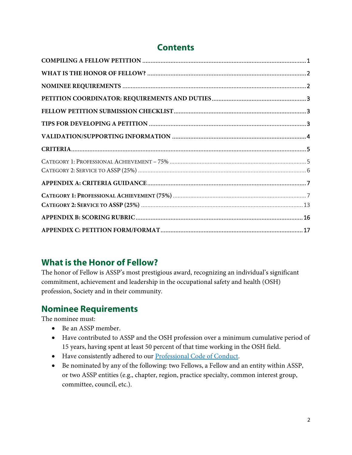### **Contents**

### <span id="page-1-0"></span>**What is the Honor of Fellow?**

The honor of Fellow is ASSP's most prestigious award, recognizing an individual's significant commitment, achievement and leadership in the occupational safety and health (OSH) profession, Society and in their community.

### <span id="page-1-1"></span>**Nominee Requirements**

The nominee must:

- Be an ASSP member.
- Have contributed to ASSP and the OSH profession over a minimum cumulative period of 15 years, having spent at least 50 percent of that time working in the OSH field.
- Have consistently adhered to our [Professional Code of Conduct.](https://www.assp.org/about/society-bylaws-and-guidelines/code-of-conduct)
- Be nominated by any of the following: two Fellows, a Fellow and an entity within ASSP, or two ASSP entities (e.g., chapter, region, practice specialty, common interest group, committee, council, etc.).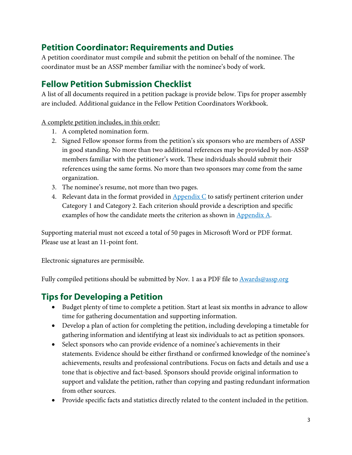### <span id="page-2-0"></span>**Petition Coordinator: Requirements and Duties**

A petition coordinator must compile and submit the petition on behalf of the nominee. The coordinator must be an ASSP member familiar with the nominee's body of work.

### <span id="page-2-1"></span>**Fellow Petition Submission Checklist**

A list of all documents required in a petition package is provide below. Tips for proper assembly are included. Additional guidance in the Fellow Petition Coordinators Workbook.

A complete petition includes, in this order:

- 1. A completed nomination form.
- 2. Signed Fellow sponsor forms from the petition's six sponsors who are members of ASSP in good standing. No more than two additional references may be provided by non-ASSP members familiar with the petitioner's work. These individuals should submit their references using the same forms. No more than two sponsors may come from the same organization.
- 3. The nominee's resume, not more than two pages.
- 4. Relevant data in the format provided in  $\Delta$ ppendix  $C$  to satisfy pertinent criterion under Category 1 and Category 2. Each criterion should provide a description and specific examples of how the candidate meets the criterion as shown in [Appendix A.](#page-6-0)

Supporting material must not exceed a total of 50 pages in Microsoft Word or PDF format. Please use at least an 11-point font.

Electronic signatures are permissible.

Fully compiled petitions should be submitted by Nov. 1 as a PDF file t[o Awards@assp.org](mailto:Awards@assp.org)

### <span id="page-2-2"></span>**Tips for Developing a Petition**

- Budget plenty of time to complete a petition. Start at least six months in advance to allow time for gathering documentation and supporting information.
- Develop a plan of action for completing the petition, including developing a timetable for gathering information and identifying at least six individuals to act as petition sponsors.
- Select sponsors who can provide evidence of a nominee's achievements in their statements. Evidence should be either firsthand or confirmed knowledge of the nominee's achievements, results and professional contributions. Focus on facts and details and use a tone that is objective and fact-based. Sponsors should provide original information to support and validate the petition, rather than copying and pasting redundant information from other sources.
- Provide specific facts and statistics directly related to the content included in the petition.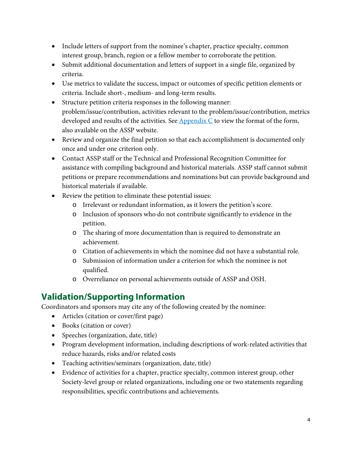- Include letters of support from the nominee's chapter, practice specialty, common interest group, branch, region or a fellow member to corroborate the petition.
- Submit additional documentation and letters of support in a single file, organized by criteria.
- Use metrics to validate the success, impact or outcomes of specific petition elements or criteria. Include short-, medium- and long-term results.
- Structure petition criteria responses in the following manner: problem/issue/contribution, activities relevant to the problem/issue/contribution, metrics developed and results of the activities. See  $\Delta$ ppendix  $C$  to view the format of the form, also available on the ASSP website.
- Review and organize the final petition so that each accomplishment is documented only once and under one criterion only.
- Contact ASSP staff or the Technical and Professional Recognition Committee for assistance with compiling background and historical materials. ASSP staff cannot submit petitions or prepare recommendations and nominations but can provide background and historical materials if available.
- Review the petition to eliminate these potential issues:
	- o Irrelevant or redundant information, as it lowers the petition's score.
	- o Inclusion of sponsors who do not contribute significantly to evidence in the petition.
	- o The sharing of more documentation than is required to demonstrate an achievement.
	- o Citation of achievements in which the nominee did not have a substantial role.
	- o Submission of information under a criterion for which the nominee is not qualified.
	- o Overreliance on personal achievements outside of ASSP and OSH.

### <span id="page-3-0"></span>**Validation/Supporting Information**

Coordinators and sponsors may cite any of the following created by the nominee:

- Articles (citation or cover/first page)
- Books (citation or cover)
- Speeches (organization, date, title)
- Program development information, including descriptions of work-related activities that reduce hazards, risks and/or related costs
- Teaching activities/seminars (organization, date, title)
- Evidence of activities for a chapter, practice specialty, common interest group, other Society-level group or related organizations, including one or two statements regarding responsibilities, specific contributions and achievements.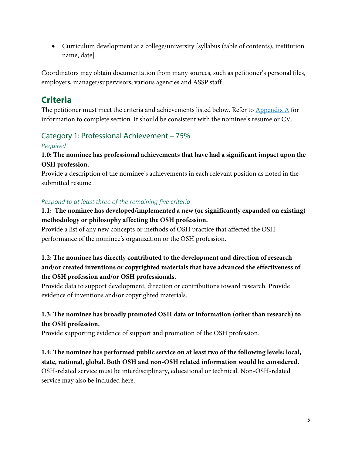• Curriculum development at a college/university [syllabus (table of contents), institution name, date]

Coordinators may obtain documentation from many sources, such as petitioner's personal files, employers, manager/supervisors, various agencies and ASSP staff.

### <span id="page-4-0"></span>**Criteria**

The petitioner must meet the criteria and achievements listed below. Refer to  $\Delta$ ppendix  $\Delta$  for information to complete section. It should be consistent with the nominee's resume or CV.

### <span id="page-4-1"></span>Category 1: Professional Achievement – 75%

#### *Required*

#### **1.0: The nominee has professional achievements that have had a significant impact upon the OSH profession.**

Provide a description of the nominee's achievements in each relevant position as noted in the submitted resume.

#### *Respond to at least three of the remaining five criteria*

#### **1.1: The nominee has developed/implemented a new (or significantly expanded on existing) methodology or philosophy affecting the OSH profession.**

Provide a list of any new concepts or methods of OSH practice that affected the OSH performance of the nominee's organization or the OSH profession.

#### **1.2: The nominee has directly contributed to the development and direction of research and/or created inventions or copyrighted materials that have advanced the effectiveness of the OSH profession and/or OSH professionals.**

Provide data to support development, direction or contributions toward research. Provide evidence of inventions and/or copyrighted materials.

#### **1.3: The nominee has broadly promoted OSH data or information (other than research) to the OSH profession.**

Provide supporting evidence of support and promotion of the OSH profession.

**1.4: The nominee has performed public service on at least two of the following levels: local, state, national, global. Both OSH and non-OSH related information would be considered.**  OSH-related service must be interdisciplinary, educational or technical. Non-OSH-related service may also be included here.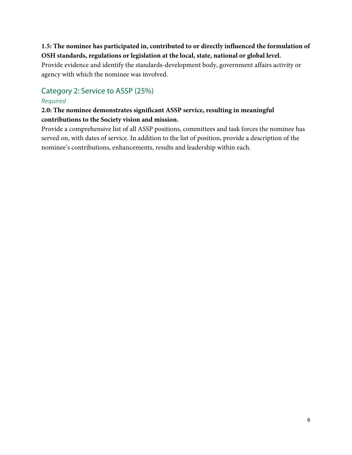#### **1.5: The nominee has participated in, contributed to or directly influenced the formulation of OSH standards, regulations or legislation at the local, state, national or global level.**

Provide evidence and identify the standards-development body, government affairs activity or agency with which the nominee was involved.

### <span id="page-5-0"></span>Category 2: Service to ASSP (25%)

#### *Required*

#### **2.0: The nominee demonstrates significant ASSP service, resulting in meaningful contributions to the Society vision and mission.**

Provide a comprehensive list of all ASSP positions, committees and task forces the nominee has served on, with dates of service. In addition to the list of position, provide a description of the nominee's contributions, enhancements, results and leadership within each.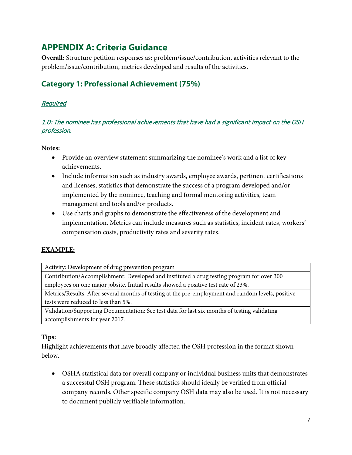### <span id="page-6-0"></span>**APPENDIX A: Criteria Guidance**

**Overall:** Structure petition responses as: problem/issue/contribution, activities relevant to the problem/issue/contribution, metrics developed and results of the activities.

### <span id="page-6-1"></span>**Category 1: Professional Achievement (75%)**

#### Required

#### 1.0: The nominee has professional achievements that have had a significant impact on the OSH profession.

#### **Notes:**

- Provide an overview statement summarizing the nominee's work and a list of key achievements.
- Include information such as industry awards, employee awards, pertinent certifications and licenses, statistics that demonstrate the success of a program developed and/or implemented by the nominee, teaching and formal mentoring activities, team management and tools and/or products.
- Use charts and graphs to demonstrate the effectiveness of the development and implementation. Metrics can include measures such as statistics, incident rates, workers' compensation costs, productivity rates and severity rates.

#### **EXAMPLE:**

Activity: Development of drug prevention program

Contribution/Accomplishment: Developed and instituted a drug testing program for over 300 employees on one major jobsite. Initial results showed a positive test rate of 23%.

Metrics/Results: After several months of testing at the pre-employment and random levels, positive tests were reduced to less than 5%.

Validation/Supporting Documentation: See test data for last six months of testing validating accomplishments for year 2017.

#### **Tips:**

Highlight achievements that have broadly affected the OSH profession in the format shown below.

• OSHA statistical data for overall company or individual business units that demonstrates a successful OSH program. These statistics should ideally be verified from official company records. Other specific company OSH data may also be used. It is not necessary to document publicly verifiable information.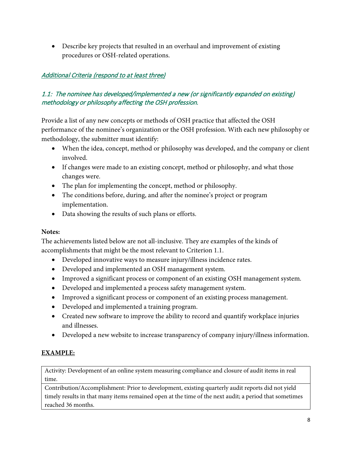• Describe key projects that resulted in an overhaul and improvement of existing procedures or OSH-related operations.

#### Additional Criteria (respond to at least three)

#### 1.1: The nominee has developed/implemented a new (or significantly expanded on existing) methodology or philosophy affecting the OSH profession.

Provide a list of any new concepts or methods of OSH practice that affected the OSH performance of the nominee's organization or the OSH profession. With each new philosophy or methodology, the submitter must identify:

- When the idea, concept, method or philosophy was developed, and the company or client involved.
- If changes were made to an existing concept, method or philosophy, and what those changes were.
- The plan for implementing the concept, method or philosophy.
- The conditions before, during, and after the nominee's project or program implementation.
- Data showing the results of such plans or efforts.

#### **Notes:**

The achievements listed below are not all-inclusive. They are examples of the kinds of accomplishments that might be the most relevant to Criterion 1.1.

- Developed innovative ways to measure injury/illness incidence rates.
- Developed and implemented an OSH management system.
- Improved a significant process or component of an existing OSH management system.
- Developed and implemented a process safety management system.
- Improved a significant process or component of an existing process management.
- Developed and implemented a training program.
- Created new software to improve the ability to record and quantify workplace injuries and illnesses.
- Developed a new website to increase transparency of company injury/illness information.

#### **EXAMPLE:**

Activity: Development of an online system measuring compliance and closure of audit items in real time.

Contribution/Accomplishment: Prior to development, existing quarterly audit reports did not yield timely results in that many items remained open at the time of the next audit; a period that sometimes reached 36 months.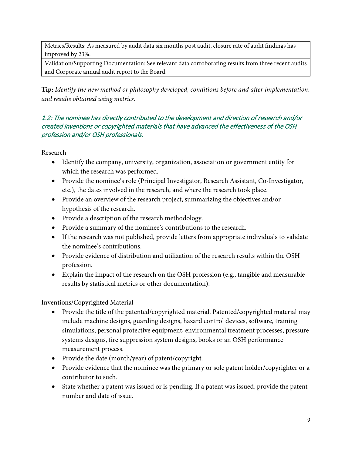Metrics/Results: As measured by audit data six months post audit, closure rate of audit findings has improved by 23%.

Validation/Supporting Documentation: See relevant data corroborating results from three recent audits and Corporate annual audit report to the Board.

**Tip:** *Identify the new method or philosophy developed, conditions before and after implementation, and results obtained using metrics.*

#### 1.2: The nominee has directly contributed to the development and direction of research and/or created inventions or copyrighted materials that have advanced the effectiveness of the OSH profession and/or OSH professionals.

Research

- Identify the company, university, organization, association or government entity for which the research was performed.
- Provide the nominee's role (Principal Investigator, Research Assistant, Co-Investigator, etc.), the dates involved in the research, and where the research took place.
- Provide an overview of the research project, summarizing the objectives and/or hypothesis of the research.
- Provide a description of the research methodology.
- Provide a summary of the nominee's contributions to the research.
- If the research was not published, provide letters from appropriate individuals to validate the nominee's contributions.
- Provide evidence of distribution and utilization of the research results within the OSH profession.
- Explain the impact of the research on the OSH profession (e.g., tangible and measurable results by statistical metrics or other documentation).

Inventions/Copyrighted Material

- Provide the title of the patented/copyrighted material. Patented/copyrighted material may include machine designs, guarding designs, hazard control devices, software, training simulations, personal protective equipment, environmental treatment processes, pressure systems designs, fire suppression system designs, books or an OSH performance measurement process.
- Provide the date (month/year) of patent/copyright.
- Provide evidence that the nominee was the primary or sole patent holder/copyrighter or a contributor to such.
- State whether a patent was issued or is pending. If a patent was issued, provide the patent number and date of issue.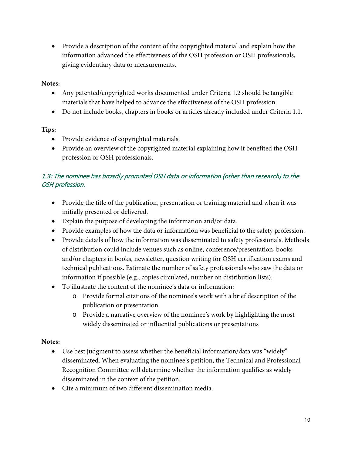• Provide a description of the content of the copyrighted material and explain how the information advanced the effectiveness of the OSH profession or OSH professionals, giving evidentiary data or measurements.

#### **Notes:**

- Any patented/copyrighted works documented under Criteria 1.2 should be tangible materials that have helped to advance the effectiveness of the OSH profession.
- Do not include books, chapters in books or articles already included under Criteria 1.1.

#### **Tips:**

- Provide evidence of copyrighted materials.
- Provide an overview of the copyrighted material explaining how it benefited the OSH profession or OSH professionals.

#### 1.3: The nominee has broadly promoted OSH data or information (other than research) to the OSH profession.

- Provide the title of the publication, presentation or training material and when it was initially presented or delivered.
- Explain the purpose of developing the information and/or data.
- Provide examples of how the data or information was beneficial to the safety profession.
- Provide details of how the information was disseminated to safety professionals. Methods of distribution could include venues such as online, conference/presentation, books and/or chapters in books, newsletter, question writing for OSH certification exams and technical publications. Estimate the number of safety professionals who saw the data or information if possible (e.g., copies circulated, number on distribution lists).
- To illustrate the content of the nominee's data or information:
	- o Provide formal citations of the nominee's work with a brief description of the publication or presentation
	- o Provide a narrative overview of the nominee's work by highlighting the most widely disseminated or influential publications or presentations

#### **Notes:**

- Use best judgment to assess whether the beneficial information/data was "widely" disseminated. When evaluating the nominee's petition, the Technical and Professional Recognition Committee will determine whether the information qualifies as widely disseminated in the context of the petition.
- Cite a minimum of two different dissemination media.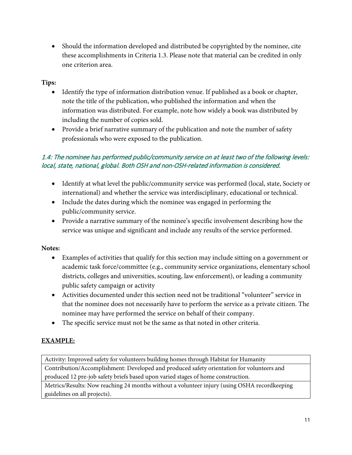• Should the information developed and distributed be copyrighted by the nominee, cite these accomplishments in Criteria 1.3. Please note that material can be credited in only one criterion area.

#### **Tips:**

- Identify the type of information distribution venue. If published as a book or chapter, note the title of the publication, who published the information and when the information was distributed. For example, note how widely a book was distributed by including the number of copies sold.
- Provide a brief narrative summary of the publication and note the number of safety professionals who were exposed to the publication.

#### 1.4: The nominee has performed public/community service on at least two of the following levels: local, state, national, global. Both OSH and non-OSH-related information is considered.

- Identify at what level the public/community service was performed (local, state, Society or international) and whether the service was interdisciplinary, educational or technical.
- Include the dates during which the nominee was engaged in performing the public/community service.
- Provide a narrative summary of the nominee's specific involvement describing how the service was unique and significant and include any results of the service performed.

#### **Notes:**

- Examples of activities that qualify for this section may include sitting on a government or academic task force/committee (e.g., community service organizations, elementary school districts, colleges and universities, scouting, law enforcement), or leading a community public safety campaign or activity
- Activities documented under this section need not be traditional "volunteer" service in that the nominee does not necessarily have to perform the service as a private citizen. The nominee may have performed the service on behalf of their company.
- The specific service must not be the same as that noted in other criteria.

#### **EXAMPLE:**

Activity: Improved safety for volunteers building homes through Habitat for Humanity

Contribution/Accomplishment: Developed and produced safety orientation for volunteers and produced 12 pre-job safety briefs based upon varied stages of home construction.

Metrics/Results: Now reaching 24 months without a volunteer injury (using OSHA recordkeeping guidelines on all projects).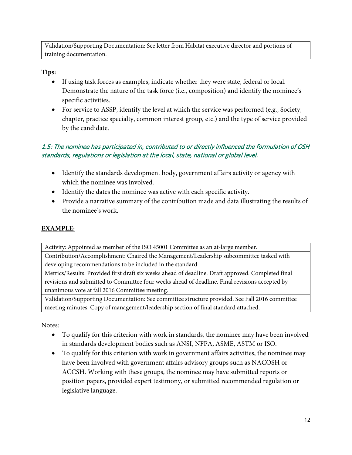Validation/Supporting Documentation: See letter from Habitat executive director and portions of training documentation.

#### **Tips:**

- If using task forces as examples, indicate whether they were state, federal or local. Demonstrate the nature of the task force (i.e., composition) and identify the nominee's specific activities.
- For service to ASSP, identify the level at which the service was performed (e.g., Society, chapter, practice specialty, common interest group, etc.) and the type of service provided by the candidate.

#### 1.5: The nominee has participated in, contributed to or directly influenced the formulation of OSH standards, regulations or legislation at the local, state, national or global level.

- Identify the standards development body, government affairs activity or agency with which the nominee was involved.
- Identify the dates the nominee was active with each specific activity.
- Provide a narrative summary of the contribution made and data illustrating the results of the nominee's work.

#### **EXAMPLE:**

Activity: Appointed as member of the ISO 45001 Committee as an at-large member.

Contribution/Accomplishment: Chaired the Management/Leadership subcommittee tasked with developing recommendations to be included in the standard.

Metrics/Results: Provided first draft six weeks ahead of deadline. Draft approved. Completed final revisions and submitted to Committee four weeks ahead of deadline. Final revisions accepted by unanimous vote at fall 2016 Committee meeting.

Validation/Supporting Documentation: See committee structure provided. See Fall 2016 committee meeting minutes. Copy of management/leadership section of final standard attached.

Notes:

- To qualify for this criterion with work in standards, the nominee may have been involved in standards development bodies such as ANSI, NFPA, ASME, ASTM or ISO.
- To qualify for this criterion with work in government affairs activities, the nominee may have been involved with government affairs advisory groups such as NACOSH or ACCSH. Working with these groups, the nominee may have submitted reports or position papers, provided expert testimony, or submitted recommended regulation or legislative language.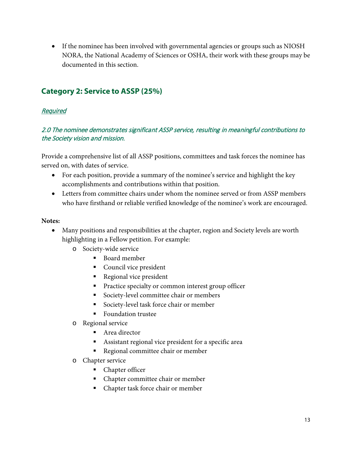• If the nominee has been involved with governmental agencies or groups such as NIOSH NORA, the National Academy of Sciences or OSHA, their work with these groups may be documented in this section.

#### <span id="page-12-0"></span>**Category 2: Service to ASSP (25%)**

#### Required

#### 2.0 The nominee demonstrates significant ASSP service, resulting in meaningful contributions to the Society vision and mission.

Provide a comprehensive list of all ASSP positions, committees and task forces the nominee has served on, with dates of service.

- For each position, provide a summary of the nominee's service and highlight the key accomplishments and contributions within that position.
- Letters from committee chairs under whom the nominee served or from ASSP members who have firsthand or reliable verified knowledge of the nominee's work are encouraged.

#### **Notes:**

- Many positions and responsibilities at the chapter, region and Society levels are worth highlighting in a Fellow petition. For example:
	- o Society-wide service
		- Board member
		- **Council vice president**
		- Regional vice president
		- **Practice specialty or common interest group officer**
		- Society-level committee chair or members
		- Society-level task force chair or member
		- **Foundation trustee**
	- o Regional service
		- Area director
		- Assistant regional vice president for a specific area
		- Regional committee chair or member
	- o Chapter service
		- Chapter officer
		- Chapter committee chair or member
		- Chapter task force chair or member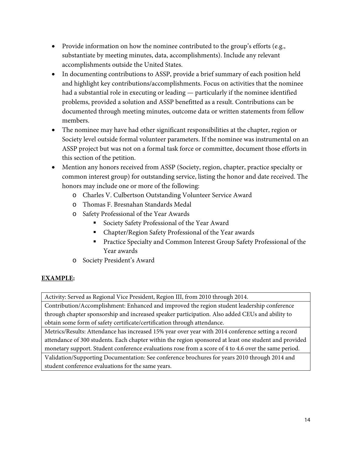- Provide information on how the nominee contributed to the group's efforts (e.g., substantiate by meeting minutes, data, accomplishments). Include any relevant accomplishments outside the United States.
- In documenting contributions to ASSP, provide a brief summary of each position held and highlight key contributions/accomplishments. Focus on activities that the nominee had a substantial role in executing or leading — particularly if the nominee identified problems, provided a solution and ASSP benefitted as a result. Contributions can be documented through meeting minutes, outcome data or written statements from fellow members.
- The nominee may have had other significant responsibilities at the chapter, region or Society level outside formal volunteer parameters. If the nominee was instrumental on an ASSP project but was not on a formal task force or committee, document those efforts in this section of the petition.
- Mention any honors received from ASSP (Society, region, chapter, practice specialty or common interest group) for outstanding service, listing the honor and date received. The honors may include one or more of the following:
	- o Charles V. Culbertson Outstanding Volunteer Service Award
	- o Thomas F. Bresnahan Standards Medal
	- o Safety Professional of the Year Awards
		- Society Safety Professional of the Year Award
		- Chapter/Region Safety Professional of the Year awards
		- **Practice Specialty and Common Interest Group Safety Professional of the** Year awards
	- o Society President's Award

#### **EXAMPLE:**

Activity: Served as Regional Vice President, Region III, from 2010 through 2014.

Contribution/Accomplishment: Enhanced and improved the region student leadership conference through chapter sponsorship and increased speaker participation. Also added CEUs and ability to obtain some form of safety certificate/certification through attendance.

Metrics/Results: Attendance has increased 15% year over year with 2014 conference setting a record attendance of 300 students. Each chapter within the region sponsored at least one student and provided monetary support. Student conference evaluations rose from a score of 4 to 4.6 over the same period.

Validation/Supporting Documentation: See conference brochures for years 2010 through 2014 and student conference evaluations for the same years.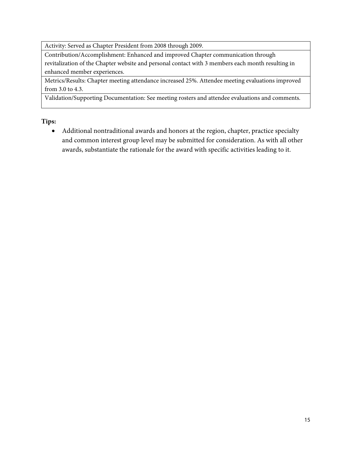Activity: Served as Chapter President from 2008 through 2009.

Contribution/Accomplishment: Enhanced and improved Chapter communication through revitalization of the Chapter website and personal contact with 3 members each month resulting in enhanced member experiences.

Metrics/Results: Chapter meeting attendance increased 25%. Attendee meeting evaluations improved from 3.0 to 4.3.

Validation/Supporting Documentation: See meeting rosters and attendee evaluations and comments.

**Tips:** 

• Additional nontraditional awards and honors at the region, chapter, practice specialty and common interest group level may be submitted for consideration. As with all other awards, substantiate the rationale for the award with specific activities leading to it.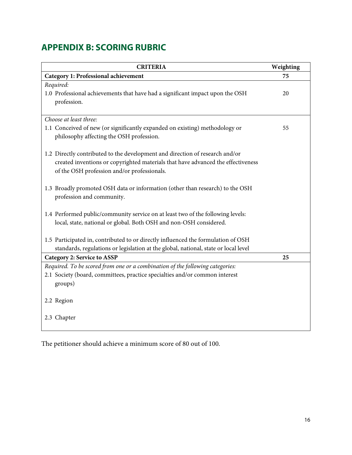### <span id="page-15-0"></span>**APPENDIX B: SCORING RUBRIC**

| <b>CRITERIA</b>                                                                     | Weighting |
|-------------------------------------------------------------------------------------|-----------|
| <b>Category 1: Professional achievement</b>                                         | 75        |
| Required:                                                                           |           |
| 1.0 Professional achievements that have had a significant impact upon the OSH       | 20        |
| profession.                                                                         |           |
|                                                                                     |           |
| Choose at least three:                                                              |           |
| 1.1 Conceived of new (or significantly expanded on existing) methodology or         | 55        |
| philosophy affecting the OSH profession.                                            |           |
|                                                                                     |           |
| 1.2 Directly contributed to the development and direction of research and/or        |           |
| created inventions or copyrighted materials that have advanced the effectiveness    |           |
| of the OSH profession and/or professionals.                                         |           |
|                                                                                     |           |
| 1.3 Broadly promoted OSH data or information (other than research) to the OSH       |           |
| profession and community.                                                           |           |
|                                                                                     |           |
| 1.4 Performed public/community service on at least two of the following levels:     |           |
| local, state, national or global. Both OSH and non-OSH considered.                  |           |
| 1.5 Participated in, contributed to or directly influenced the formulation of OSH   |           |
| standards, regulations or legislation at the global, national, state or local level |           |
| <b>Category 2: Service to ASSP</b>                                                  | 25        |
| Required. To be scored from one or a combination of the following categories:       |           |
| 2.1 Society (board, committees, practice specialties and/or common interest         |           |
| groups)                                                                             |           |
|                                                                                     |           |
| 2.2 Region                                                                          |           |
|                                                                                     |           |
| 2.3 Chapter                                                                         |           |
|                                                                                     |           |
|                                                                                     |           |

<span id="page-15-1"></span>The petitioner should achieve a minimum score of 80 out of 100.